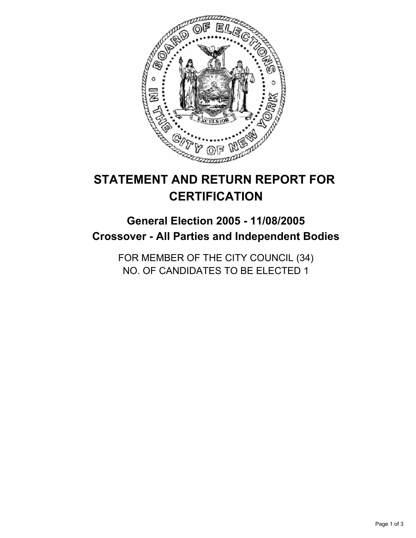

# **STATEMENT AND RETURN REPORT FOR CERTIFICATION**

## **General Election 2005 - 11/08/2005 Crossover - All Parties and Independent Bodies**

FOR MEMBER OF THE CITY COUNCIL (34) NO. OF CANDIDATES TO BE ELECTED 1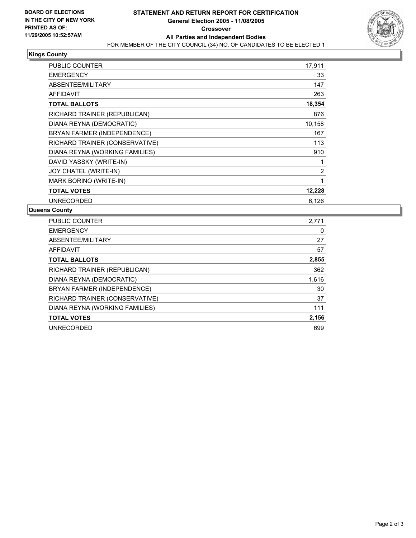

#### **Kings County**

| PUBLIC COUNTER                 | 17,911 |
|--------------------------------|--------|
| <b>EMERGENCY</b>               | 33     |
| ABSENTEE/MILITARY              | 147    |
| <b>AFFIDAVIT</b>               | 263    |
| <b>TOTAL BALLOTS</b>           | 18,354 |
| RICHARD TRAINER (REPUBLICAN)   | 876    |
| DIANA REYNA (DEMOCRATIC)       | 10,158 |
| BRYAN FARMER (INDEPENDENCE)    | 167    |
| RICHARD TRAINER (CONSERVATIVE) | 113    |
| DIANA REYNA (WORKING FAMILIES) | 910    |
| DAVID YASSKY (WRITE-IN)        |        |
| JOY CHATEL (WRITE-IN)          | 2      |
| MARK BORINO (WRITE-IN)         |        |
| <b>TOTAL VOTES</b>             | 12,228 |
| <b>UNRECORDED</b>              | 6,126  |

#### **Queens County**

| PUBLIC COUNTER                 | 2,771 |
|--------------------------------|-------|
| <b>EMERGENCY</b>               |       |
| ABSENTEE/MILITARY              | 27    |
| <b>AFFIDAVIT</b>               | 57    |
| <b>TOTAL BALLOTS</b>           | 2,855 |
| RICHARD TRAINER (REPUBLICAN)   | 362   |
| DIANA REYNA (DEMOCRATIC)       | 1,616 |
| BRYAN FARMER (INDEPENDENCE)    | 30    |
| RICHARD TRAINER (CONSERVATIVE) | 37    |
| DIANA REYNA (WORKING FAMILIES) | 111   |
| <b>TOTAL VOTES</b>             | 2,156 |
| <b>UNRECORDED</b>              | 699   |